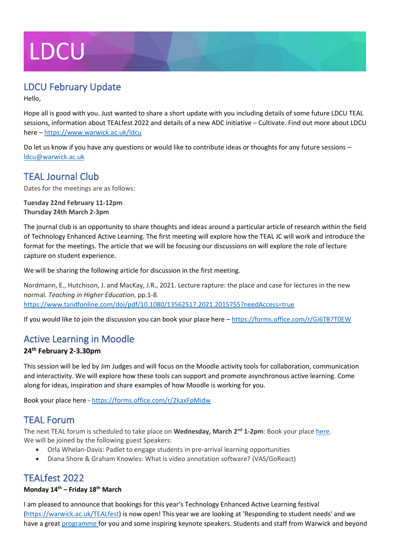# **LDCU**

## LDCU February Update

Hello,

Hope all is good with you. Just wanted to share a short update with you including details of some future LDCU TEAL sessions, information about TEALfest 2022 and details of a new ADC initiative – Cultivate. Find out more about LDCU here – <https://www.warwick.ac.uk/ldcu>

Do let us know if you have any questions or would like to contribute ideas or thoughts for any future sessions – [ldcu@warwick.ac.uk](mailto:ldcu@warwick.ac.uk)

## TEAL Journal Club

Dates for the meetings are as follows:

**Tuesday 22nd February 11-12pm Thursday 24th March 2-3pm**

The journal club is an opportunity to share thoughts and ideas around a particular article of research within the field of Technology Enhanced Active Learning. The first meeting will explore how the TEAL JC will work and introduce the format for the meetings. The article that we will be focusing our discussions on will explore the role of lecture capture on student experience.

We will be sharing the following article for discussion in the first meeting.

Nordmann, E., Hutchison, J. and MacKay, J.R., 2021. Lecture rapture: the place and case for lectures in the new normal. *Teaching in Higher Education*, pp.1-8. <https://www.tandfonline.com/doi/pdf/10.1080/13562517.2021.2015755?needAccess=true>

If you would like to join the discussion you can book your place here – <https://forms.office.com/r/Gi6TB7T0EW>

## Active Learning in Moodle

### **24th February 2-3.30pm**

This session will be led by Jim Judges and will focus on the Moodle activity tools for collaboration, communication and interactivity. We will explore how these tools can support and promote asynchronous active learning. Come along for ideas, inspiration and share examples of how Moodle is working for you.

Book your place here - <https://forms.office.com/r/2kaxFpMidw>

## TEAL Forum

The next TEAL forum is scheduled to take place on **Wednesday, March 2<sup>nd</sup> 1-2pm**: Book your plac[e here.](https://forms.office.com/Pages/ResponsePage.aspx?id=vc-6Ce9HZUSSZTVG8ur2vBUN1djHHxpFrBX-swzkp9lUN1BCOFpRRTdZWEI3NzJJRVFPMTlLT0RMRi4u) We will be joined by the following guest Speakers:

- Orla Whelan-Davis: Padlet to engage students in pre-arrival learning opportunities
- Diana Shore & Graham Knowles: What is video annotation software? (VAS/GoReact)

## TEALfest 2022

#### **Monday 14th – Friday 18th March**

I am pleased to announce that bookings for this year's Technology Enhanced Active Learning festival [\(https://warwick.ac.uk/TEALfest\)](https://warwick.ac.uk/TEALfest) is now open! This year we are looking at 'Responding to student needs' and we have a grea[t programme f](https://warwick.ac.uk/fac/cross_fac/academic-development/app/tel/ldcu/tealfest2022/programme2022)or you and some inspiring keynote speakers. Students and staff from Warwick and beyond